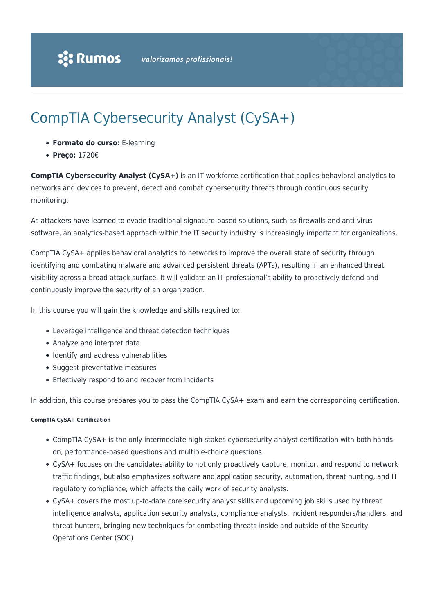# CompTIA Cybersecurity Analyst (CySA+)

- **Formato do curso:** E-learning
- **Preço:** 1720€

**CompTIA Cybersecurity Analyst (CySA+)** is an IT workforce certification that applies behavioral analytics to networks and devices to prevent, detect and combat cybersecurity threats through continuous security monitoring.

As attackers have learned to evade traditional signature-based solutions, such as firewalls and anti-virus software, an analytics-based approach within the IT security industry is increasingly important for organizations.

CompTIA CySA+ applies behavioral analytics to networks to improve the overall state of security through identifying and combating malware and advanced persistent threats (APTs), resulting in an enhanced threat visibility across a broad attack surface. It will validate an IT professional's ability to proactively defend and continuously improve the security of an organization.

In this course you will gain the knowledge and skills required to:

- Leverage intelligence and threat detection techniques
- Analyze and interpret data
- Identify and address vulnerabilities
- Suggest preventative measures
- Effectively respond to and recover from incidents

In addition, this course prepares you to pass the CompTIA CySA+ exam and earn the corresponding certification.

#### **CompTIA CySA+ Certification**

- CompTIA CySA+ is the only intermediate high-stakes cybersecurity analyst certification with both handson, performance-based questions and multiple-choice questions.
- CySA+ focuses on the candidates ability to not only proactively capture, monitor, and respond to network traffic findings, but also emphasizes software and application security, automation, threat hunting, and IT regulatory compliance, which affects the daily work of security analysts.
- CySA+ covers the most up-to-date core security analyst skills and upcoming job skills used by threat intelligence analysts, application security analysts, compliance analysts, incident responders/handlers, and threat hunters, bringing new techniques for combating threats inside and outside of the Security Operations Center (SOC)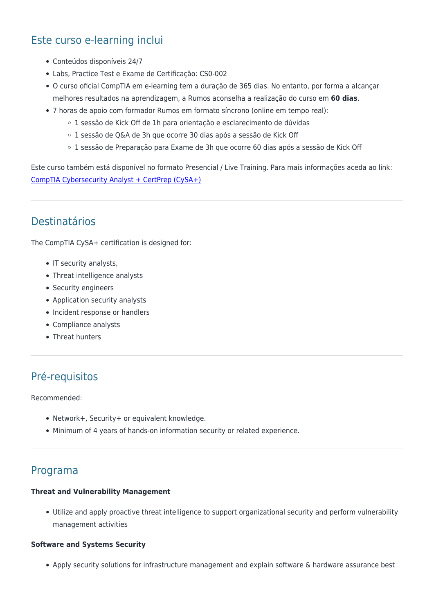# Este curso e-learning inclui

- Conteúdos disponíveis 24/7
- Labs, Practice Test e Exame de Certificação: CS0-002
- O curso oficial CompTIA em e-learning tem a duração de 365 dias. No entanto, por forma a alcançar melhores resultados na aprendizagem, a Rumos aconselha a realização do curso em **60 dias**.
- 7 horas de apoio com formador Rumos em formato síncrono (online em tempo real):
	- 1 sessão de Kick Off de 1h para orientação e esclarecimento de dúvidas
	- 1 sessão de Q&A de 3h que ocorre 30 dias após a sessão de Kick Off
	- 1 sessão de Preparação para Exame de 3h que ocorre 60 dias após a sessão de Kick Off

Este curso também está disponível no formato Presencial / Live Training. Para mais informações aceda ao link: [CompTIA Cybersecurity Analyst + CertPrep \(CySA+\)](https://www.rumos.pt/curso/comptia-cybersecurity-analyst-certprep-cysa-presencial-com-live-training/)

### Destinatários

The CompTIA CySA+ certification is designed for:

- IT security analysts,
- Threat intelligence analysts
- Security engineers
- Application security analysts
- Incident response or handlers
- Compliance analysts
- Threat hunters

## Pré-requisitos

Recommended:

- Network+, Security+ or equivalent knowledge.
- Minimum of 4 years of hands-on information security or related experience.

### Programa

#### **Threat and Vulnerability Management**

Utilize and apply proactive threat intelligence to support organizational security and perform vulnerability management activities

#### **Software and Systems Security**

Apply security solutions for infrastructure management and explain software & hardware assurance best